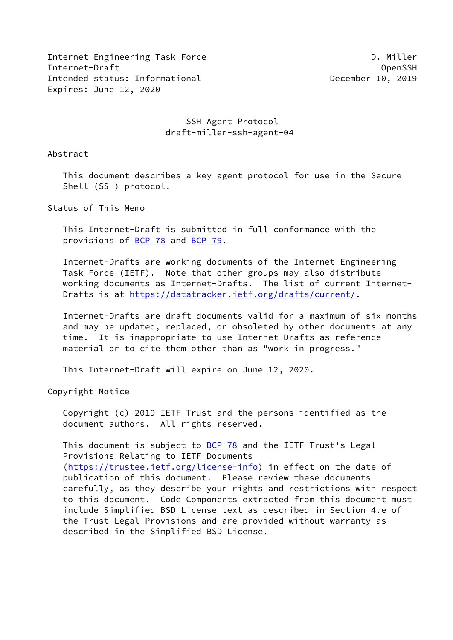Internet Engineering Task Force **D. Equation** C. Miller Internet-Draft OpenSSH Intended status: Informational **December 10, 2019** Expires: June 12, 2020

# SSH Agent Protocol draft-miller-ssh-agent-04

Abstract

 This document describes a key agent protocol for use in the Secure Shell (SSH) protocol.

Status of This Memo

 This Internet-Draft is submitted in full conformance with the provisions of [BCP 78](https://datatracker.ietf.org/doc/pdf/bcp78) and [BCP 79](https://datatracker.ietf.org/doc/pdf/bcp79).

 Internet-Drafts are working documents of the Internet Engineering Task Force (IETF). Note that other groups may also distribute working documents as Internet-Drafts. The list of current Internet- Drafts is at<https://datatracker.ietf.org/drafts/current/>.

 Internet-Drafts are draft documents valid for a maximum of six months and may be updated, replaced, or obsoleted by other documents at any time. It is inappropriate to use Internet-Drafts as reference material or to cite them other than as "work in progress."

This Internet-Draft will expire on June 12, 2020.

Copyright Notice

 Copyright (c) 2019 IETF Trust and the persons identified as the document authors. All rights reserved.

This document is subject to  $BCP$  78 and the IETF Trust's Legal Provisions Relating to IETF Documents [\(https://trustee.ietf.org/license-info](https://trustee.ietf.org/license-info)) in effect on the date of publication of this document. Please review these documents carefully, as they describe your rights and restrictions with respect to this document. Code Components extracted from this document must include Simplified BSD License text as described in Section 4.e of the Trust Legal Provisions and are provided without warranty as described in the Simplified BSD License.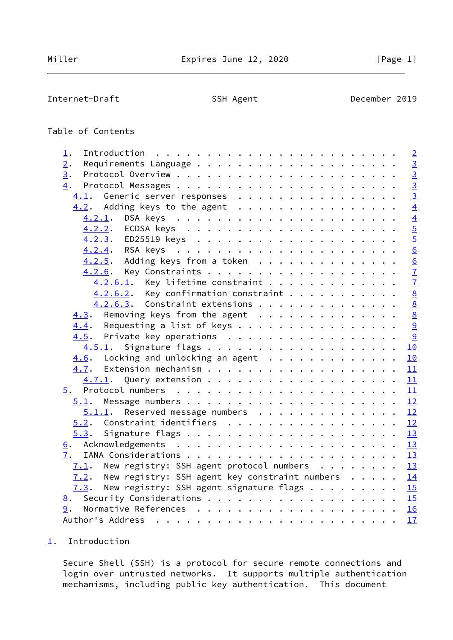<span id="page-1-1"></span>Internet-Draft SSH Agent SSH Agent December 2019

# Table of Contents

| 1.                                                                                   | $\overline{2}$ |
|--------------------------------------------------------------------------------------|----------------|
| 2.                                                                                   | $\overline{3}$ |
| 3.                                                                                   | $\frac{3}{3}$  |
| 4.                                                                                   |                |
| 4.1. Generic server responses                                                        | $\overline{3}$ |
| $4.2$ . Adding keys to the agent                                                     | $\overline{4}$ |
|                                                                                      | $\frac{4}{5}$  |
|                                                                                      |                |
|                                                                                      | $\overline{5}$ |
|                                                                                      | $\overline{6}$ |
| $4.2.5$ . Adding keys from a token                                                   | $\frac{1}{6}$  |
|                                                                                      | $\frac{7}{7}$  |
| $4.2.6.1$ . Key lifetime constraint                                                  |                |
| $4.2.6.2$ . Key confirmation constraint                                              | 8              |
| 4.2.6.3. Constraint extensions                                                       | 8              |
| $4.3$ . Removing keys from the agent                                                 | 8              |
| $\underline{4.4}$ . Requesting a list of keys                                        | 9              |
| 4.5. Private key operations                                                          | 9              |
| 4.5.1.                                                                               | 10             |
| $4.6$ . Locking and unlocking an agent                                               | 10             |
|                                                                                      | 11             |
|                                                                                      |                |
|                                                                                      |                |
| 5.1.                                                                                 |                |
| $5.1.1$ . Reserved message numbers 12                                                |                |
| $5.2$ . Constraint identifiers 12                                                    |                |
| 5.3.                                                                                 |                |
|                                                                                      |                |
| 7.                                                                                   |                |
| $7.1$ . New registry: SSH agent protocol numbers 13                                  |                |
| 7.2. New registry: SSH agent key constraint numbers $\cdots$ $\cdots$ $\frac{14}{1}$ |                |
| New registry: SSH agent signature flags $\frac{15}{2}$<br>7.3.                       |                |
| 8. Security Considerations 15                                                        |                |
| 9.                                                                                   |                |
|                                                                                      | 17             |
|                                                                                      |                |

# <span id="page-1-0"></span>[1](#page-1-0). Introduction

 Secure Shell (SSH) is a protocol for secure remote connections and login over untrusted networks. It supports multiple authentication mechanisms, including public key authentication. This document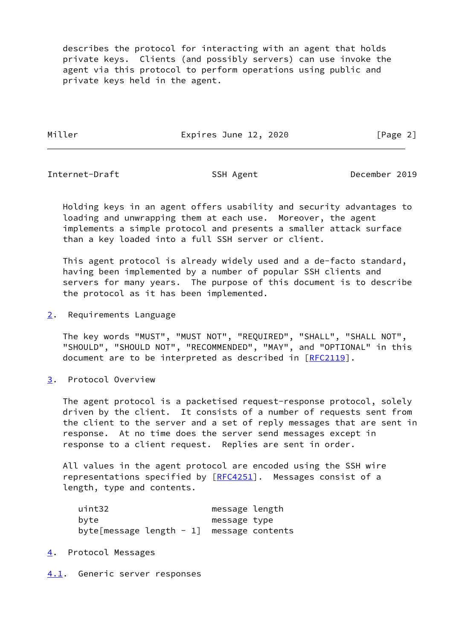describes the protocol for interacting with an agent that holds private keys. Clients (and possibly servers) can use invoke the agent via this protocol to perform operations using public and private keys held in the agent.

Miller **Expires June 12, 2020** [Page 2]

<span id="page-2-1"></span>Internet-Draft SSH Agent SSH Agent December 2019

 Holding keys in an agent offers usability and security advantages to loading and unwrapping them at each use. Moreover, the agent implements a simple protocol and presents a smaller attack surface than a key loaded into a full SSH server or client.

 This agent protocol is already widely used and a de-facto standard, having been implemented by a number of popular SSH clients and servers for many years. The purpose of this document is to describe the protocol as it has been implemented.

<span id="page-2-0"></span>[2](#page-2-0). Requirements Language

 The key words "MUST", "MUST NOT", "REQUIRED", "SHALL", "SHALL NOT", "SHOULD", "SHOULD NOT", "RECOMMENDED", "MAY", and "OPTIONAL" in this document are to be interpreted as described in [\[RFC2119](https://datatracker.ietf.org/doc/pdf/rfc2119)].

<span id="page-2-2"></span>[3](#page-2-2). Protocol Overview

 The agent protocol is a packetised request-response protocol, solely driven by the client. It consists of a number of requests sent from the client to the server and a set of reply messages that are sent in response. At no time does the server send messages except in response to a client request. Replies are sent in order.

 All values in the agent protocol are encoded using the SSH wire representations specified by [\[RFC4251](https://datatracker.ietf.org/doc/pdf/rfc4251)]. Messages consist of a length, type and contents.

| uint32                                      | message length |
|---------------------------------------------|----------------|
| bvte                                        | message type   |
| byte[message length $-1$ ] message contents |                |

# <span id="page-2-3"></span>[4](#page-2-3). Protocol Messages

<span id="page-2-4"></span>[4.1](#page-2-4). Generic server responses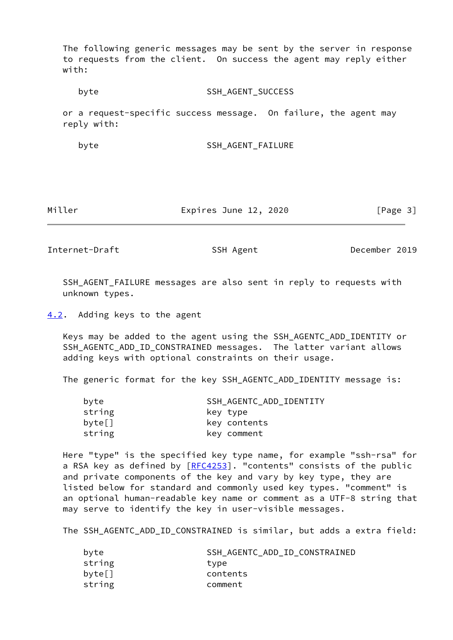The following generic messages may be sent by the server in response to requests from the client. On success the agent may reply either with:

byte SSH\_AGENT\_SUCCESS

 or a request-specific success message. On failure, the agent may reply with:

byte SSH\_AGENT\_FAILURE

Miller **Expires June 12, 2020** [Page 3]

<span id="page-3-1"></span>Internet-Draft SSH Agent SSH Agent December 2019

 SSH\_AGENT\_FAILURE messages are also sent in reply to requests with unknown types.

<span id="page-3-0"></span>[4.2](#page-3-0). Adding keys to the agent

 Keys may be added to the agent using the SSH\_AGENTC\_ADD\_IDENTITY or SSH\_AGENTC\_ADD\_ID\_CONSTRAINED messages. The latter variant allows adding keys with optional constraints on their usage.

The generic format for the key SSH\_AGENTC\_ADD\_IDENTITY message is:

| SSH_AGENTC_ADD_IDENTITY |
|-------------------------|
| key type                |
| key contents            |
| key comment             |
|                         |

 Here "type" is the specified key type name, for example "ssh-rsa" for a RSA key as defined by [\[RFC4253](https://datatracker.ietf.org/doc/pdf/rfc4253)]. "contents" consists of the public and private components of the key and vary by key type, they are listed below for standard and commonly used key types. "comment" is an optional human-readable key name or comment as a UTF-8 string that may serve to identify the key in user-visible messages.

The SSH\_AGENTC\_ADD\_ID\_CONSTRAINED is similar, but adds a extra field:

| byte   | SSH AGENTC ADD ID CONSTRAINED |
|--------|-------------------------------|
| string | type                          |
| byte[] | contents                      |
| string | comment                       |
|        |                               |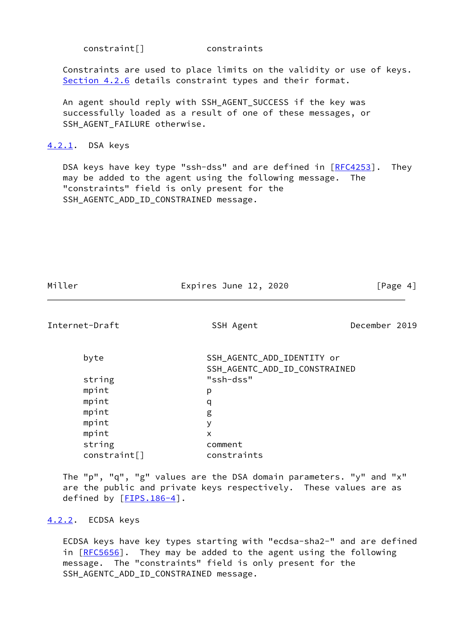| constraint[] |  |  |
|--------------|--|--|
|              |  |  |

constraint[] constraints

 Constraints are used to place limits on the validity or use of keys. [Section 4.2.6](#page-7-0) details constraint types and their format.

 An agent should reply with SSH\_AGENT\_SUCCESS if the key was successfully loaded as a result of one of these messages, or SSH\_AGENT\_FAILURE otherwise.

## <span id="page-4-0"></span>[4.2.1](#page-4-0). DSA keys

DSA keys have key type "ssh-dss" and are defined in [\[RFC4253](https://datatracker.ietf.org/doc/pdf/rfc4253)]. They may be added to the agent using the following message. The "constraints" field is only present for the SSH\_AGENTC\_ADD\_ID\_CONSTRAINED message.

| Miller | Expires June 12, 2020 | [Page 4] |
|--------|-----------------------|----------|

<span id="page-4-2"></span>Internet-Draft SSH Agent SSH Agent December 2019

| byte         | SSH_AGENTC_ADD_IDENTITY or    |
|--------------|-------------------------------|
|              | SSH_AGENTC_ADD_ID_CONSTRAINED |
| string       | "ssh-dss"                     |
| mpint        | р                             |
| mpint        | q                             |
| mpint        | g                             |
| mpint        | У                             |
| mpint        | X                             |
| string       | comment                       |
| constraint[] | constraints                   |

 The "p", "q", "g" values are the DSA domain parameters. "y" and "x" are the public and private keys respectively. These values are as defined by [[FIPS.186-4\]](#page-17-2).

#### <span id="page-4-1"></span>[4.2.2](#page-4-1). ECDSA keys

 ECDSA keys have key types starting with "ecdsa-sha2-" and are defined in [[RFC5656\]](https://datatracker.ietf.org/doc/pdf/rfc5656). They may be added to the agent using the following message. The "constraints" field is only present for the SSH\_AGENTC\_ADD\_ID\_CONSTRAINED message.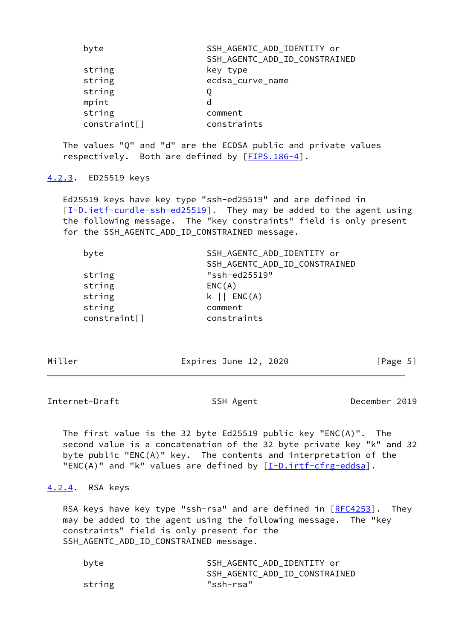| byte         | SSH_AGENTC_ADD_IDENTITY or    |
|--------------|-------------------------------|
|              | SSH_AGENTC_ADD_ID_CONSTRAINED |
| string       | key type                      |
| string       | ecdsa_curve_name              |
| string       |                               |
| mpint        | d                             |
| string       | comment                       |
| constraint[] | constraints                   |

 The values "Q" and "d" are the ECDSA public and private values respectively. Both are defined by [[FIPS.186-4\]](#page-17-2).

## <span id="page-5-0"></span>[4.2.3](#page-5-0). ED25519 keys

 Ed25519 keys have key type "ssh-ed25519" and are defined in [\[I-D.ietf-curdle-ssh-ed25519](#page-17-3)]. They may be added to the agent using the following message. The "key constraints" field is only present for the SSH\_AGENTC\_ADD\_ID\_CONSTRAINED message.

| byte         | SSH_AGENTC_ADD_IDENTITY or    |
|--------------|-------------------------------|
|              | SSH_AGENTC_ADD_ID_CONSTRAINED |
| string       | "ssh-ed25519"                 |
| string       | ENC(A)                        |
| string       | $k \mid \mid$ ENC(A)          |
| string       | comment                       |
| constraint[] | constraints                   |
|              |                               |

Miller **Expires June 12, 2020** [Page 5]

<span id="page-5-2"></span>Internet-Draft SSH Agent SSH Agent December 2019

 The first value is the 32 byte Ed25519 public key "ENC(A)". The second value is a concatenation of the 32 byte private key "k" and 32 byte public "ENC(A)" key. The contents and interpretation of the "ENC(A)" and "k" values are defined by  $[\underline{I-D.intf-cfrg-eddsa}]$ .

## <span id="page-5-1"></span>[4.2.4](#page-5-1). RSA keys

RSA keys have key type "ssh-rsa" and are defined in  $[RECA253]$ . They may be added to the agent using the following message. The "key constraints" field is only present for the SSH\_AGENTC\_ADD\_ID\_CONSTRAINED message.

| byte   | SSH_AGENTC_ADD IDENTITY or    |
|--------|-------------------------------|
|        | SSH AGENTC ADD ID CONSTRAINED |
| string | "ssh-rsa"                     |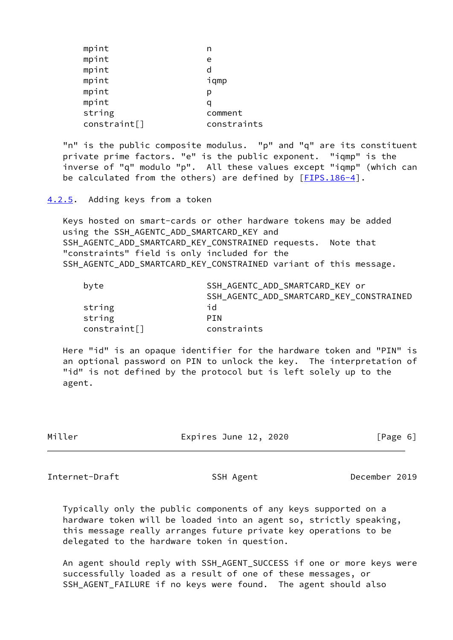| mpint        |             |
|--------------|-------------|
| mpint        | e           |
| mpint        | d           |
| mpint        | iqmp        |
| mpint        | р           |
| mpint        |             |
| string       | comment     |
| constraint[] | constraints |
|              |             |

 "n" is the public composite modulus. "p" and "q" are its constituent private prime factors. "e" is the public exponent. "iqmp" is the inverse of "q" modulo "p". All these values except "iqmp" (which can be calculated from the others) are defined by [[FIPS.186-4\]](#page-17-2).

<span id="page-6-0"></span>[4.2.5](#page-6-0). Adding keys from a token

 Keys hosted on smart-cards or other hardware tokens may be added using the SSH\_AGENTC\_ADD\_SMARTCARD\_KEY and SSH\_AGENTC\_ADD\_SMARTCARD\_KEY\_CONSTRAINED\_requests. Note that "constraints" field is only included for the SSH\_AGENTC\_ADD\_SMARTCARD\_KEY\_CONSTRAINED variant of this message.

| byte         | SSH_AGENTC_ADD_SMARTCARD_KEY or          |
|--------------|------------------------------------------|
|              | SSH_AGENTC_ADD_SMARTCARD_KEY_CONSTRAINED |
| string       | id                                       |
| string       | <b>PIN</b>                               |
| constraint[] | constraints                              |

 Here "id" is an opaque identifier for the hardware token and "PIN" is an optional password on PIN to unlock the key. The interpretation of "id" is not defined by the protocol but is left solely up to the agent.

| Miller | Expires June 12, 2020 | [Page 6] |
|--------|-----------------------|----------|
|--------|-----------------------|----------|

<span id="page-6-1"></span>Internet-Draft SSH Agent SSH Agent December 2019

 Typically only the public components of any keys supported on a hardware token will be loaded into an agent so, strictly speaking, this message really arranges future private key operations to be delegated to the hardware token in question.

An agent should reply with SSH AGENT SUCCESS if one or more keys were successfully loaded as a result of one of these messages, or SSH\_AGENT\_FAILURE if no keys were found. The agent should also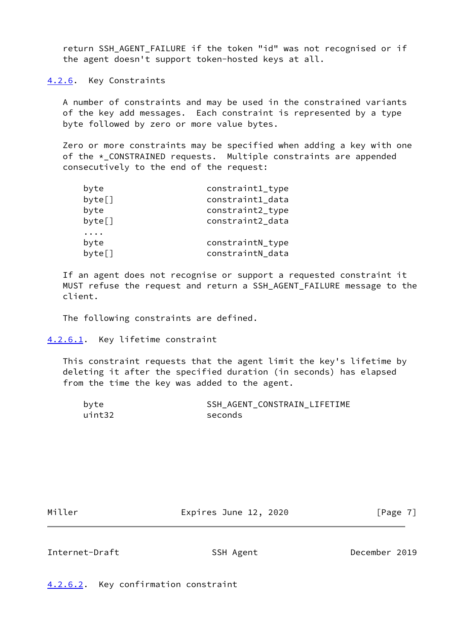return SSH\_AGENT\_FAILURE if the token "id" was not recognised or if the agent doesn't support token-hosted keys at all.

<span id="page-7-0"></span>[4.2.6](#page-7-0). Key Constraints

 A number of constraints and may be used in the constrained variants of the key add messages. Each constraint is represented by a type byte followed by zero or more value bytes.

 Zero or more constraints may be specified when adding a key with one of the \*\_CONSTRAINED requests. Multiple constraints are appended consecutively to the end of the request:

| byte   | constraint1_type |
|--------|------------------|
| byte[] | constraint1_data |
| byte   | constraint2_type |
| byte[] | constraint2_data |
| byte   | constraintN_type |
| byte[] | constraintN_data |

 If an agent does not recognise or support a requested constraint it MUST refuse the request and return a SSH\_AGENT\_FAILURE message to the client.

The following constraints are defined.

```
4.2.6.1. Key lifetime constraint
```
 This constraint requests that the agent limit the key's lifetime by deleting it after the specified duration (in seconds) has elapsed from the time the key was added to the agent.

| byte   | SSH AGENT CONSTRAIN LIFETIME |
|--------|------------------------------|
| uint32 | seconds                      |

Miller **Expires June 12, 2020** [Page 7]

<span id="page-7-3"></span>Internet-Draft SSH Agent December 2019

<span id="page-7-2"></span>[4.2.6.2](#page-7-2). Key confirmation constraint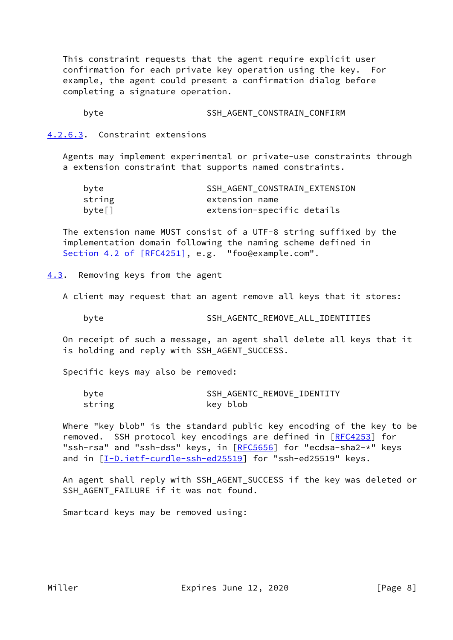This constraint requests that the agent require explicit user confirmation for each private key operation using the key. For example, the agent could present a confirmation dialog before completing a signature operation.

byte SSH AGENT CONSTRAIN CONFIRM

<span id="page-8-0"></span>[4.2.6.3](#page-8-0). Constraint extensions

 Agents may implement experimental or private-use constraints through a extension constraint that supports named constraints.

| byte   | SSH AGENT CONSTRAIN EXTENSION |
|--------|-------------------------------|
| string | extension name                |
| byte[] | extension-specific details    |

 The extension name MUST consist of a UTF-8 string suffixed by the implementation domain following the naming scheme defined in Section [4.2 of \[RFC4251\]](https://datatracker.ietf.org/doc/pdf/rfc4251#section-4.2), e.g. "foo@example.com".

<span id="page-8-1"></span>[4.3](#page-8-1). Removing keys from the agent

A client may request that an agent remove all keys that it stores:

byte SSH\_AGENTC\_REMOVE\_ALL\_IDENTITIES

 On receipt of such a message, an agent shall delete all keys that it is holding and reply with SSH\_AGENT\_SUCCESS.

Specific keys may also be removed:

| byte   | SSH AGENTC REMOVE IDENTITY |
|--------|----------------------------|
| string | key blob                   |

 Where "key blob" is the standard public key encoding of the key to be removed. SSH protocol key encodings are defined in [\[RFC4253](https://datatracker.ietf.org/doc/pdf/rfc4253)] for "ssh-rsa" and "ssh-dss" keys, in [\[RFC5656](https://datatracker.ietf.org/doc/pdf/rfc5656)] for "ecdsa-sha2-\*" keys and in [\[I-D.ietf-curdle-ssh-ed25519](#page-17-3)] for "ssh-ed25519" keys.

 An agent shall reply with SSH\_AGENT\_SUCCESS if the key was deleted or SSH\_AGENT\_FAILURE if it was not found.

Smartcard keys may be removed using: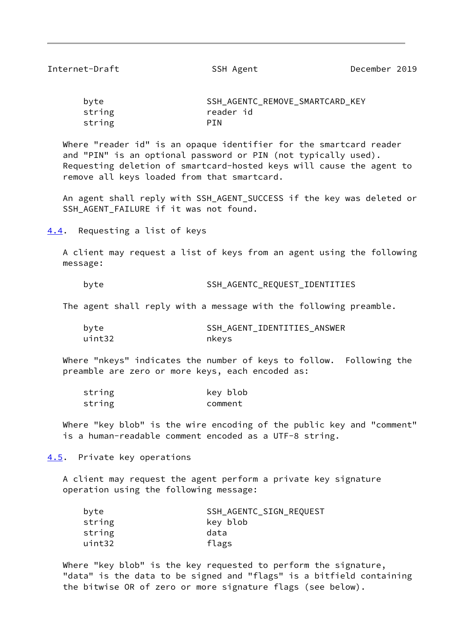<span id="page-9-1"></span>Internet-Draft SSH Agent December 2019

| byte   | SSH AGENTC REMOVE SMARTCARD KEY |
|--------|---------------------------------|
| string | reader id                       |
| string | PTN                             |

 Where "reader id" is an opaque identifier for the smartcard reader and "PIN" is an optional password or PIN (not typically used). Requesting deletion of smartcard-hosted keys will cause the agent to remove all keys loaded from that smartcard.

 An agent shall reply with SSH\_AGENT\_SUCCESS if the key was deleted or SSH\_AGENT\_FAILURE if it was not found.

<span id="page-9-0"></span>[4.4](#page-9-0). Requesting a list of keys

 A client may request a list of keys from an agent using the following message:

byte SSH\_AGENTC\_REQUEST\_IDENTITIES

The agent shall reply with a message with the following preamble.

byte SSH\_AGENT\_IDENTITIES\_ANSWER uint32 nkeys

 Where "nkeys" indicates the number of keys to follow. Following the preamble are zero or more keys, each encoded as:

| string | key blob |
|--------|----------|
| string | comment  |

 Where "key blob" is the wire encoding of the public key and "comment" is a human-readable comment encoded as a UTF-8 string.

<span id="page-9-2"></span>[4.5](#page-9-2). Private key operations

 A client may request the agent perform a private key signature operation using the following message:

| byte   | SSH_AGENTC_SIGN_REQUEST |
|--------|-------------------------|
| string | key blob                |
| string | data                    |
| uint32 | flags                   |

 Where "key blob" is the key requested to perform the signature, "data" is the data to be signed and "flags" is a bitfield containing the bitwise OR of zero or more signature flags (see below).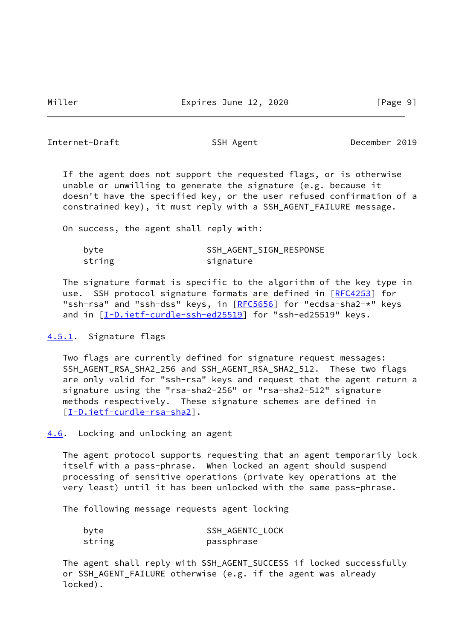<span id="page-10-1"></span>Internet-Draft SSH Agent SSH Agent December 2019

 If the agent does not support the requested flags, or is otherwise unable or unwilling to generate the signature (e.g. because it doesn't have the specified key, or the user refused confirmation of a constrained key), it must reply with a SSH\_AGENT\_FAILURE message.

On success, the agent shall reply with:

| byte   | SSH AGENT SIGN RESPONSE |
|--------|-------------------------|
| string | signature               |

 The signature format is specific to the algorithm of the key type in use. SSH protocol signature formats are defined in [\[RFC4253](https://datatracker.ietf.org/doc/pdf/rfc4253)] for "ssh-rsa" and "ssh-dss" keys, in [\[RFC5656](https://datatracker.ietf.org/doc/pdf/rfc5656)] for "ecdsa-sha2-\*" keys and in  $[I-D.iett-curdle-ssh-ed25519]$  for "ssh-ed25519" keys.

<span id="page-10-0"></span>[4.5.1](#page-10-0). Signature flags

 Two flags are currently defined for signature request messages: SSH\_AGENT\_RSA\_SHA2\_256 and SSH\_AGENT\_RSA\_SHA2\_512. These two flags are only valid for "ssh-rsa" keys and request that the agent return a signature using the "rsa-sha2-256" or "rsa-sha2-512" signature methods respectively. These signature schemes are defined in [\[I-D.ietf-curdle-rsa-sha2](#page-17-5)].

<span id="page-10-2"></span>[4.6](#page-10-2). Locking and unlocking an agent

 The agent protocol supports requesting that an agent temporarily lock itself with a pass-phrase. When locked an agent should suspend processing of sensitive operations (private key operations at the very least) until it has been unlocked with the same pass-phrase.

The following message requests agent locking

| byte   | SSH AGENTC LOCK |
|--------|-----------------|
| string | passphrase      |

 The agent shall reply with SSH\_AGENT\_SUCCESS if locked successfully or SSH\_AGENT\_FAILURE otherwise (e.g. if the agent was already locked).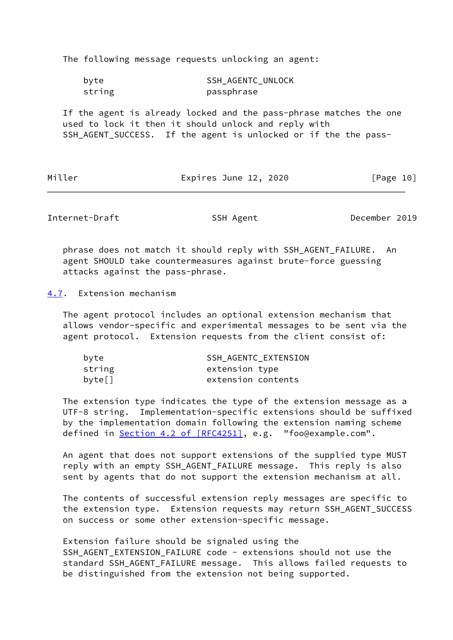The following message requests unlocking an agent:

| byte   | <b>SSH AGENTC UNLOCK</b> |
|--------|--------------------------|
| string | passphrase               |

 If the agent is already locked and the pass-phrase matches the one used to lock it then it should unlock and reply with SSH\_AGENT\_SUCCESS. If the agent is unlocked or if the the pass-

Miller **Expires June 12, 2020** [Page 10]

<span id="page-11-1"></span>Internet-Draft SSH Agent SSH Agent December 2019

 phrase does not match it should reply with SSH\_AGENT\_FAILURE. An agent SHOULD take countermeasures against brute-force guessing attacks against the pass-phrase.

<span id="page-11-0"></span>[4.7](#page-11-0). Extension mechanism

 The agent protocol includes an optional extension mechanism that allows vendor-specific and experimental messages to be sent via the agent protocol. Extension requests from the client consist of:

| byte   | SSH AGENTC EXTENSION |
|--------|----------------------|
| string | extension type       |
| byte[] | extension contents   |

 The extension type indicates the type of the extension message as a UTF-8 string. Implementation-specific extensions should be suffixed by the implementation domain following the extension naming scheme defined in Section [4.2 of \[RFC4251\],](https://datatracker.ietf.org/doc/pdf/rfc4251#section-4.2) e.g. "foo@example.com".

 An agent that does not support extensions of the supplied type MUST reply with an empty SSH\_AGENT\_FAILURE message. This reply is also sent by agents that do not support the extension mechanism at all.

 The contents of successful extension reply messages are specific to the extension type. Extension requests may return SSH\_AGENT\_SUCCESS on success or some other extension-specific message.

 Extension failure should be signaled using the SSH\_AGENT\_EXTENSION\_FAILURE code - extensions should not use the standard SSH\_AGENT\_FAILURE message. This allows failed requests to be distinguished from the extension not being supported.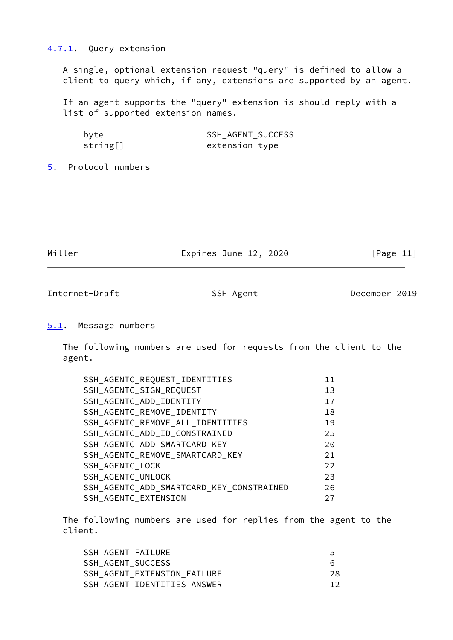## <span id="page-12-0"></span>[4.7.1](#page-12-0). Query extension

 A single, optional extension request "query" is defined to allow a client to query which, if any, extensions are supported by an agent.

 If an agent supports the "query" extension is should reply with a list of supported extension names.

| byte     | <b>SSH AGENT SUCCESS</b> |
|----------|--------------------------|
| string[] | extension type           |

<span id="page-12-1"></span>[5](#page-12-1). Protocol numbers

| Miller | Expires June 12, 2020 | [Page 11] |
|--------|-----------------------|-----------|
|        |                       |           |

<span id="page-12-3"></span>Internet-Draft SSH Agent SSH Agent December 2019

#### <span id="page-12-2"></span>[5.1](#page-12-2). Message numbers

 The following numbers are used for requests from the client to the agent.

| SSH_AGENTC_REQUEST_IDENTITIES            | 11 |
|------------------------------------------|----|
| SSH_AGENTC_SIGN_REQUEST                  | 13 |
| SSH_AGENTC_ADD_IDENTITY                  | 17 |
| SSH_AGENTC_REMOVE_IDENTITY               | 18 |
| SSH_AGENTC_REMOVE_ALL_IDENTITIES         | 19 |
| SSH_AGENTC_ADD_ID_CONSTRAINED            | 25 |
| SSH_AGENTC_ADD_SMARTCARD_KEY             | 20 |
| SSH AGENTC REMOVE SMARTCARD KEY          | 21 |
| SSH_AGENTC_LOCK                          | 22 |
| SSH AGENTC UNLOCK                        | 23 |
| SSH_AGENTC_ADD_SMARTCARD_KEY_CONSTRAINED | 26 |
| SSH AGENTC EXTENSION                     | 27 |

 The following numbers are used for replies from the agent to the client.

| 5  |
|----|
| 6  |
| 28 |
|    |
|    |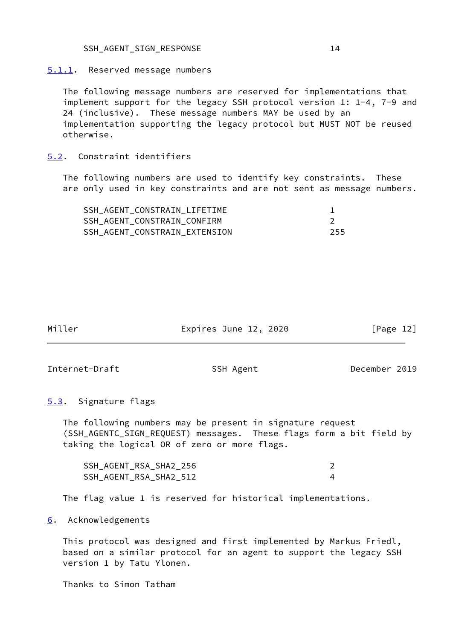#### <span id="page-13-0"></span>[5.1.1](#page-13-0). Reserved message numbers

 The following message numbers are reserved for implementations that implement support for the legacy SSH protocol version 1: 1-4, 7-9 and 24 (inclusive). These message numbers MAY be used by an implementation supporting the legacy protocol but MUST NOT be reused otherwise.

# <span id="page-13-1"></span>[5.2](#page-13-1). Constraint identifiers

 The following numbers are used to identify key constraints. These are only used in key constraints and are not sent as message numbers.

| SSH AGENT CONSTRAIN LIFETIME  |     |
|-------------------------------|-----|
| SSH AGENT CONSTRAIN CONFIRM   |     |
| SSH AGENT CONSTRAIN EXTENSION | 255 |

| Miller | Expires June 12, 2020 | [Page 12] |
|--------|-----------------------|-----------|
|        |                       |           |

<span id="page-13-3"></span>Internet-Draft SSH Agent SSH Agent December 2019

# <span id="page-13-2"></span>[5.3](#page-13-2). Signature flags

 The following numbers may be present in signature request (SSH\_AGENTC\_SIGN\_REQUEST) messages. These flags form a bit field by taking the logical OR of zero or more flags.

| SSH AGENT RSA SHA2 256 |  |
|------------------------|--|
| SSH AGENT RSA SHA2 512 |  |

The flag value 1 is reserved for historical implementations.

<span id="page-13-4"></span>[6](#page-13-4). Acknowledgements

 This protocol was designed and first implemented by Markus Friedl, based on a similar protocol for an agent to support the legacy SSH version 1 by Tatu Ylonen.

Thanks to Simon Tatham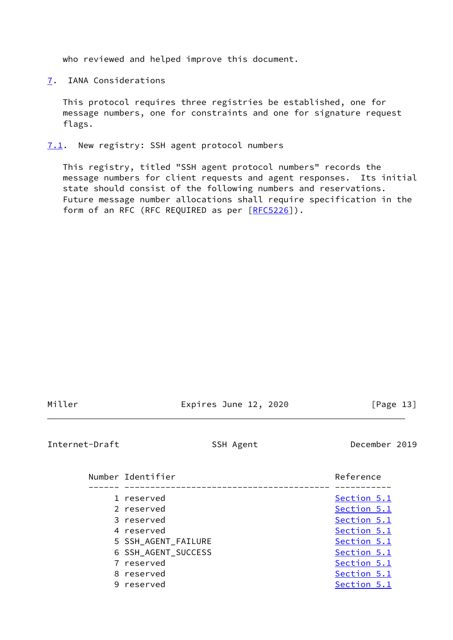who reviewed and helped improve this document.

<span id="page-14-0"></span>[7](#page-14-0). IANA Considerations

 This protocol requires three registries be established, one for message numbers, one for constraints and one for signature request flags.

<span id="page-14-1"></span>[7.1](#page-14-1). New registry: SSH agent protocol numbers

 This registry, titled "SSH agent protocol numbers" records the message numbers for client requests and agent responses. Its initial state should consist of the following numbers and reservations. Future message number allocations shall require specification in the form of an RFC (RFC REQUIRED as per [\[RFC5226](https://datatracker.ietf.org/doc/pdf/rfc5226)]).

| М |  |  |
|---|--|--|

Expires June 12, 2020 [Page 13]

<span id="page-14-2"></span>Internet-Draft SSH Agent SSH Agent December 2019

| Number Identifier   | Reference   |
|---------------------|-------------|
| 1 reserved          | Section 5.1 |
| 2 reserved          | Section 5.1 |
| 3 reserved          | Section 5.1 |
| 4 reserved          | Section 5.1 |
| 5 SSH AGENT FAILURE | Section 5.1 |
| 6 SSH AGENT SUCCESS | Section 5.1 |
| 7 reserved          | Section 5.1 |
| 8 reserved          | Section 5.1 |
| 9 reserved          | Section 5.1 |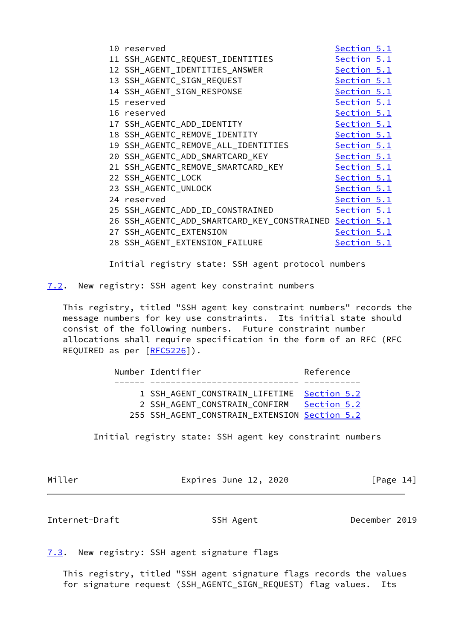|  | 10 reserved                                             | Section 5.1 |  |
|--|---------------------------------------------------------|-------------|--|
|  | 11 SSH_AGENTC_REQUEST_IDENTITIES                        | Section 5.1 |  |
|  | 12 SSH_AGENT_IDENTITIES_ANSWER                          | Section 5.1 |  |
|  | 13 SSH_AGENTC_SIGN_REQUEST                              | Section 5.1 |  |
|  | 14 SSH_AGENT_SIGN_RESPONSE                              | Section 5.1 |  |
|  | 15 reserved                                             | Section 5.1 |  |
|  | 16 reserved                                             | Section 5.1 |  |
|  | 17 SSH_AGENTC_ADD_IDENTITY                              | Section 5.1 |  |
|  | 18 SSH_AGENTC_REMOVE_IDENTITY                           | Section 5.1 |  |
|  | 19 SSH_AGENTC_REMOVE_ALL_IDENTITIES                     | Section 5.1 |  |
|  | 20 SSH_AGENTC_ADD_SMARTCARD_KEY                         | Section 5.1 |  |
|  | 21 SSH_AGENTC_REMOVE_SMARTCARD_KEY                      | Section 5.1 |  |
|  | 22 SSH_AGENTC_LOCK                                      | Section 5.1 |  |
|  | 23 SSH_AGENTC_UNLOCK                                    | Section 5.1 |  |
|  | 24 reserved                                             | Section 5.1 |  |
|  | 25 SSH_AGENTC_ADD_ID_CONSTRAINED                        | Section 5.1 |  |
|  | 26 SSH_AGENTC_ADD_SMARTCARD_KEY_CONSTRAINED Section 5.1 |             |  |
|  | 27 SSH_AGENTC_EXTENSION                                 | Section 5.1 |  |
|  | 28 SSH_AGENT_EXTENSION_FAILURE                          | Section 5.1 |  |
|  |                                                         |             |  |

Initial registry state: SSH agent protocol numbers

<span id="page-15-0"></span>[7.2](#page-15-0). New registry: SSH agent key constraint numbers

 This registry, titled "SSH agent key constraint numbers" records the message numbers for key use constraints. Its initial state should consist of the following numbers. Future constraint number allocations shall require specification in the form of an RFC (RFC REQUIRED as per [\[RFC5226](https://datatracker.ietf.org/doc/pdf/rfc5226)]).

| Number Identifier                                                                                                            | Reference   |
|------------------------------------------------------------------------------------------------------------------------------|-------------|
| 1 SSH AGENT CONSTRAIN LIFETIME Section 5.2<br>2 SSH AGENT CONSTRAIN CONFIRM<br>255 SSH AGENT CONSTRAIN EXTENSION Section 5.2 | Section 5.2 |

Initial registry state: SSH agent key constraint numbers

| Μi<br>I. | ≏ |
|----------|---|
|----------|---|

Miller Expires June 12, 2020 [Page 14]

<span id="page-15-2"></span>Internet-Draft SSH Agent SSH Agent December 2019

<span id="page-15-1"></span>[7.3](#page-15-1). New registry: SSH agent signature flags

 This registry, titled "SSH agent signature flags records the values for signature request (SSH\_AGENTC\_SIGN\_REQUEST) flag values. Its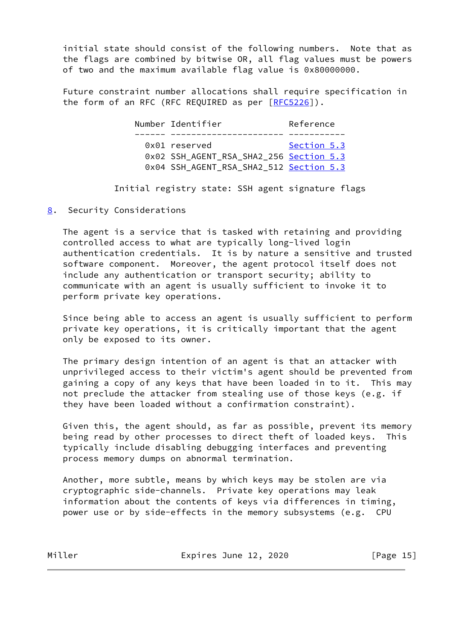initial state should consist of the following numbers. Note that as the flags are combined by bitwise OR, all flag values must be powers of two and the maximum available flag value is 0x80000000.

 Future constraint number allocations shall require specification in the form of an RFC (RFC REQUIRED as per [\[RFC5226](https://datatracker.ietf.org/doc/pdf/rfc5226)]).

> Number Identifier **Reference**  ------ ---------------------- ----------- 0x01 reserved [Section 5.3](#page-13-2) 0x02 SSH\_AGENT\_RSA\_SHA2\_256 [Section 5.3](#page-13-2) 0x04 SSH\_AGENT\_RSA\_SHA2\_512 [Section 5.3](#page-13-2)

Initial registry state: SSH agent signature flags

<span id="page-16-0"></span>[8](#page-16-0). Security Considerations

 The agent is a service that is tasked with retaining and providing controlled access to what are typically long-lived login authentication credentials. It is by nature a sensitive and trusted software component. Moreover, the agent protocol itself does not include any authentication or transport security; ability to communicate with an agent is usually sufficient to invoke it to perform private key operations.

 Since being able to access an agent is usually sufficient to perform private key operations, it is critically important that the agent only be exposed to its owner.

 The primary design intention of an agent is that an attacker with unprivileged access to their victim's agent should be prevented from gaining a copy of any keys that have been loaded in to it. This may not preclude the attacker from stealing use of those keys (e.g. if they have been loaded without a confirmation constraint).

 Given this, the agent should, as far as possible, prevent its memory being read by other processes to direct theft of loaded keys. This typically include disabling debugging interfaces and preventing process memory dumps on abnormal termination.

 Another, more subtle, means by which keys may be stolen are via cryptographic side-channels. Private key operations may leak information about the contents of keys via differences in timing, power use or by side-effects in the memory subsystems (e.g. CPU

Miller **Expires June 12, 2020** [Page 15]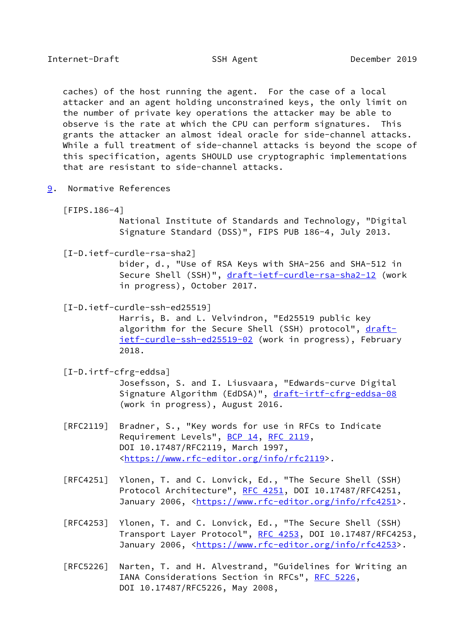<span id="page-17-1"></span> caches) of the host running the agent. For the case of a local attacker and an agent holding unconstrained keys, the only limit on the number of private key operations the attacker may be able to observe is the rate at which the CPU can perform signatures. This grants the attacker an almost ideal oracle for side-channel attacks. While a full treatment of side-channel attacks is beyond the scope of this specification, agents SHOULD use cryptographic implementations that are resistant to side-channel attacks.

- <span id="page-17-2"></span><span id="page-17-0"></span>[9](#page-17-0). Normative References
	- [FIPS.186-4]

 National Institute of Standards and Technology, "Digital Signature Standard (DSS)", FIPS PUB 186-4, July 2013.

<span id="page-17-5"></span>[I-D.ietf-curdle-rsa-sha2]

 bider, d., "Use of RSA Keys with SHA-256 and SHA-512 in Secure Shell (SSH)", [draft-ietf-curdle-rsa-sha2-12](https://datatracker.ietf.org/doc/pdf/draft-ietf-curdle-rsa-sha2-12) (work in progress), October 2017.

<span id="page-17-3"></span>[I-D.ietf-curdle-ssh-ed25519]

 Harris, B. and L. Velvindron, "Ed25519 public key algorithm for the Secure Shell (SSH) protocol", [draft](https://datatracker.ietf.org/doc/pdf/draft-ietf-curdle-ssh-ed25519-02) [ietf-curdle-ssh-ed25519-02](https://datatracker.ietf.org/doc/pdf/draft-ietf-curdle-ssh-ed25519-02) (work in progress), February 2018.

<span id="page-17-4"></span>[I-D.irtf-cfrg-eddsa]

 Josefsson, S. and I. Liusvaara, "Edwards-curve Digital Signature Algorithm (EdDSA)", [draft-irtf-cfrg-eddsa-08](https://datatracker.ietf.org/doc/pdf/draft-irtf-cfrg-eddsa-08) (work in progress), August 2016.

- [RFC2119] Bradner, S., "Key words for use in RFCs to Indicate Requirement Levels", [BCP 14](https://datatracker.ietf.org/doc/pdf/bcp14), [RFC 2119](https://datatracker.ietf.org/doc/pdf/rfc2119), DOI 10.17487/RFC2119, March 1997, <[https://www.rfc-editor.org/info/rfc2119>](https://www.rfc-editor.org/info/rfc2119).
- [RFC4251] Ylonen, T. and C. Lonvick, Ed., "The Secure Shell (SSH) Protocol Architecture", [RFC 4251,](https://datatracker.ietf.org/doc/pdf/rfc4251) DOI 10.17487/RFC4251, January 2006, [<https://www.rfc-editor.org/info/rfc4251](https://www.rfc-editor.org/info/rfc4251)>.
- [RFC4253] Ylonen, T. and C. Lonvick, Ed., "The Secure Shell (SSH) Transport Layer Protocol", [RFC 4253](https://datatracker.ietf.org/doc/pdf/rfc4253), DOI 10.17487/RFC4253, January 2006, [<https://www.rfc-editor.org/info/rfc4253](https://www.rfc-editor.org/info/rfc4253)>.
- [RFC5226] Narten, T. and H. Alvestrand, "Guidelines for Writing an IANA Considerations Section in RFCs", [RFC 5226](https://datatracker.ietf.org/doc/pdf/rfc5226), DOI 10.17487/RFC5226, May 2008,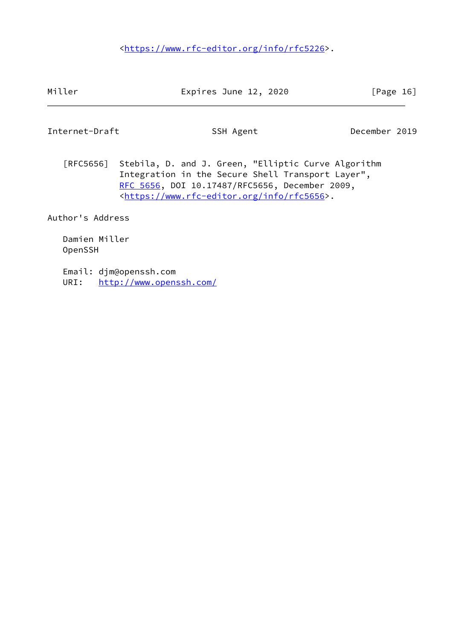<[https://www.rfc-editor.org/info/rfc5226>](https://www.rfc-editor.org/info/rfc5226).

Miller **Expires June 12, 2020** [Page 16]

<span id="page-18-0"></span>Internet-Draft SSH Agent SSH Agent December 2019

 [RFC5656] Stebila, D. and J. Green, "Elliptic Curve Algorithm Integration in the Secure Shell Transport Layer", [RFC 5656,](https://datatracker.ietf.org/doc/pdf/rfc5656) DOI 10.17487/RFC5656, December 2009, <[https://www.rfc-editor.org/info/rfc5656>](https://www.rfc-editor.org/info/rfc5656).

Author's Address

 Damien Miller OpenSSH

 Email: djm@openssh.com URI: <http://www.openssh.com/>